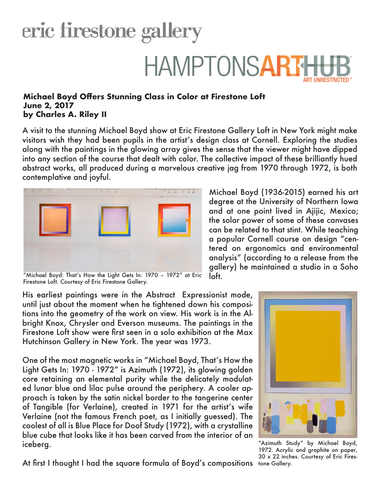## eric firestone gallery **HAMPTONSART**

## **Michael Boyd Offers Stunning Class in Color at Firestone Loft June 2, 2017 by Charles A. Riley II**

A visit to the stunning Michael Boyd show at Eric Firestone Gallery Loft in New York might make visitors wish they had been pupils in the artist's design class at Cornell. Exploring the studies along with the paintings in the glowing array gives the sense that the viewer might have dipped into any section of the course that dealt with color. The collective impact of these brilliantly hued abstract works, all produced during a marvelous creative jag from 1970 through 1972, is both contemplative and joyful.

loft.



"Michael Boyd: That's How the Light Gets In: 1970 – 1972" at Eric Firestone Loft. Courtesy of Eric Firestone Gallery.

His earliest paintings were in the Abstract Expressionist mode, until just about the moment when he tightened down his compositions into the geometry of the work on view. His work is in the Albright Knox, Chrysler and Everson museums. The paintings in the Firestone Loft show were first seen in a solo exhibition at the Max Hutchinson Gallery in New York. The year was 1973.

One of the most magnetic works in "Michael Boyd, That's How the Light Gets In: 1970 - 1972" is Azimuth (1972), its glowing golden core retaining an elemental purity while the delicately modulated lunar blue and lilac pulse around the periphery. A cooler approach is taken by the satin nickel border to the tangerine center of Tangible (for Verlaine), created in 1971 for the artist's wife Verlaine (not the famous French poet, as I initially guessed). The coolest of all is Blue Place for Doof Study (1972), with a crystalline blue cube that looks like it has been carved from the interior of an iceberg.

At first I thought I had the square formula of Boyd's compositions tone Gallery.

analysis" (according to a release from the gallery) he maintained a studio in a Soho

Michael Boyd (1936-2015) earned his art degree at the University of Northern Iowa and at one point lived in Ajijic, Mexico; the solar power of some of these canvases can be related to that stint. While teaching a popular Cornell course on design "centered on ergonomics and environmental



"Azimuth Study" by Michael Boyd, 1972. Acrylic and graphite on paper, 30 x 22 inches. Courtesy of Eric Fires-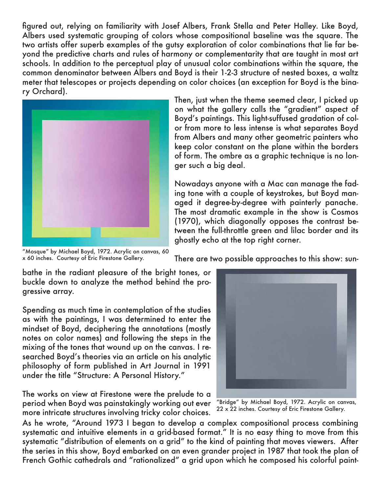figured out, relying on familiarity with Josef Albers, Frank Stella and Peter Halley. Like Boyd, Albers used systematic grouping of colors whose compositional baseline was the square. The two artists offer superb examples of the gutsy exploration of color combinations that lie far beyond the predictive charts and rules of harmony or complementarity that are taught in most art schools. In addition to the perceptual play of unusual color combinations within the square, the common denominator between Albers and Boyd is their 1-2-3 structure of nested boxes, a waltz meter that telescopes or projects depending on color choices (an exception for Boyd is the binary Orchard).



Then, just when the theme seemed clear, I picked up on what the gallery calls the "gradient" aspect of Boyd's paintings. This light-suffused gradation of color from more to less intense is what separates Boyd from Albers and many other geometric painters who keep color constant on the plane within the borders of form. The ombre as a graphic technique is no longer such a big deal.

Nowadays anyone with a Mac can manage the fading tone with a couple of keystrokes, but Boyd managed it degree-by-degree with painterly panache. The most dramatic example in the show is Cosmos (1970), which diagonally opposes the contrast between the full-throttle green and lilac border and its ghostly echo at the top right corner.

"Mosque" by Michael Boyd, 1972. Acrylic on canvas, 60 x 60 inches. Courtesy of Eric Firestone Gallery.

gressive array.

There are two possible approaches to this show: sun-

bathe in the radiant pleasure of the bright tones, or buckle down to analyze the method behind the pro-Spending as much time in contemplation of the studies as with the paintings, I was determined to enter the mindset of Boyd, deciphering the annotations (mostly notes on color names) and following the steps in the mixing of the tones that wound up on the canvas. I researched Boyd's theories via an article on his analytic philosophy of form published in Art Journal in 1991

The works on view at Firestone were the prelude to a period when Boyd was painstakingly working out ever more intricate structures involving tricky color choices.

under the title "Structure: A Personal History."

As he wrote, "Around 1973 I began to develop a complex compositional process combining systematic and intuitive elements in a grid-based format." It is no easy thing to move from this systematic "distribution of elements on a grid" to the kind of painting that moves viewers. After the series in this show, Boyd embarked on an even grander project in 1987 that took the plan of French Gothic cathedrals and "rationalized" a grid upon which he composed his colorful paint-

"Bridge" by Michael Boyd, 1972. Acrylic on canvas,

22 x 22 inches. Courtesy of Eric Firestone Gallery.